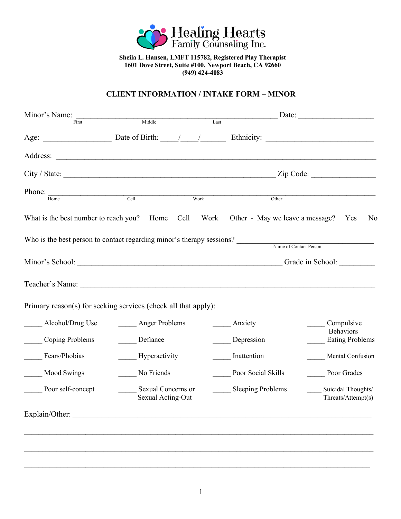

**Sheila L. Hansen, LMFT 115782, Registered Play Therapist 1601 Dove Street, Suite #100, Newport Beach, CA 92660 (949) 424-4083**

## **CLIENT INFORMATION / INTAKE FORM – MINOR**

| Minor's Name:     |                                                                                                                                                                                                                                                                                                                                                                                                                     | $\overline{\text{Last}}$ |                        | Date: $\qquad \qquad$                      |
|-------------------|---------------------------------------------------------------------------------------------------------------------------------------------------------------------------------------------------------------------------------------------------------------------------------------------------------------------------------------------------------------------------------------------------------------------|--------------------------|------------------------|--------------------------------------------|
| First             | Middle                                                                                                                                                                                                                                                                                                                                                                                                              |                          |                        |                                            |
|                   | Age: $\frac{1}{\sqrt{1-\frac{1}{1-\frac{1}{1-\frac{1}{1-\frac{1}{1-\frac{1}{1-\frac{1}{1-\frac{1}{1-\frac{1}{1-\frac{1}{1-\frac{1}{1-\frac{1}{1-\frac{1}{1-\frac{1}{1-\frac{1}{1-\frac{1}{1-\frac{1}{1-\frac{1}{1-\frac{1}{1-\frac{1}{1-\frac{1}{1-\frac{1}{1-\frac{1}{1-\frac{1}{1-\frac{1}{1-\frac{1}{1-\frac{1}{1-\frac{1}{1-\frac{1}{1-\frac{1}{1-\frac{1}{1-\frac{1}{1-\frac{1}{1-\frac{1}{1-\frac{1}{1-\frac$ |                          |                        |                                            |
|                   |                                                                                                                                                                                                                                                                                                                                                                                                                     |                          |                        |                                            |
|                   | $City / State: \_\_\_\_\_\_\_\_$ Zip Code: $\_\_\_\_\_\_\_\_$                                                                                                                                                                                                                                                                                                                                                       |                          |                        |                                            |
| Phone:<br>Home    | Cell                                                                                                                                                                                                                                                                                                                                                                                                                | Work                     | Other                  |                                            |
|                   | What is the best number to reach you? Home Cell Work Other - May we leave a message? Yes                                                                                                                                                                                                                                                                                                                            |                          |                        | N <sub>0</sub>                             |
|                   | Who is the best person to contact regarding minor's therapy sessions?                                                                                                                                                                                                                                                                                                                                               |                          | Name of Contact Person |                                            |
|                   | Minor's School: Campaign Canada in School: Campaign Canada in School:                                                                                                                                                                                                                                                                                                                                               |                          |                        |                                            |
|                   |                                                                                                                                                                                                                                                                                                                                                                                                                     |                          |                        |                                            |
|                   | Primary reason(s) for seeking services (check all that apply):                                                                                                                                                                                                                                                                                                                                                      |                          |                        |                                            |
| Alcohol/Drug Use  | Anger Problems                                                                                                                                                                                                                                                                                                                                                                                                      |                          | Anxiety                | Compulsive                                 |
| Coping Problems   | Defiance                                                                                                                                                                                                                                                                                                                                                                                                            |                          | Depression             | <b>Behaviors</b><br><b>Eating Problems</b> |
| Fears/Phobias     | Hyperactivity                                                                                                                                                                                                                                                                                                                                                                                                       |                          | Inattention            | Mental Confusion                           |
| Mood Swings       | No Friends                                                                                                                                                                                                                                                                                                                                                                                                          |                          | Poor Social Skills     | Poor Grades                                |
| Poor self-concept | Sexual Concerns or<br>Sexual Acting-Out                                                                                                                                                                                                                                                                                                                                                                             |                          | Sleeping Problems      | Suicidal Thoughts/<br>Threats/Attempt(s)   |
| Explain/Other:    |                                                                                                                                                                                                                                                                                                                                                                                                                     |                          |                        |                                            |
|                   |                                                                                                                                                                                                                                                                                                                                                                                                                     |                          |                        |                                            |
|                   |                                                                                                                                                                                                                                                                                                                                                                                                                     |                          |                        |                                            |
|                   |                                                                                                                                                                                                                                                                                                                                                                                                                     |                          |                        |                                            |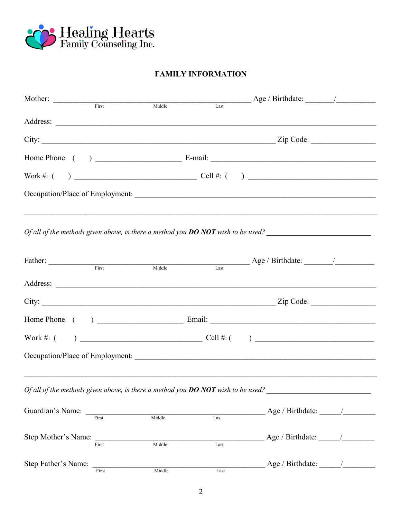

# **FAMILY INFORMATION**

| Mother: First Middle                                                               |       |        |      |                                                                                    |  |
|------------------------------------------------------------------------------------|-------|--------|------|------------------------------------------------------------------------------------|--|
|                                                                                    |       |        | Last |                                                                                    |  |
|                                                                                    |       |        |      |                                                                                    |  |
|                                                                                    |       |        |      |                                                                                    |  |
|                                                                                    |       |        |      |                                                                                    |  |
|                                                                                    |       |        |      |                                                                                    |  |
|                                                                                    |       |        |      | Occupation/Place of Employment:                                                    |  |
|                                                                                    |       |        |      | Of all of the methods given above, is there a method you $DO NOT$ wish to be used? |  |
| Father: First                                                                      |       | Middle | Last |                                                                                    |  |
|                                                                                    |       |        |      |                                                                                    |  |
|                                                                                    |       |        |      |                                                                                    |  |
|                                                                                    |       |        |      |                                                                                    |  |
|                                                                                    |       |        |      |                                                                                    |  |
|                                                                                    |       |        |      |                                                                                    |  |
| Of all of the methods given above, is there a method you $DO NOT$ wish to be used? |       |        |      | ,我们也不会有什么。""我们的人,我们也不会有什么?""我们的人,我们也不会有什么?""我们的人,我们也不会有什么?""我们的人,我们也不会有什么?""我们的人   |  |
|                                                                                    |       | Middle | Las  | Age / Birthdate: /                                                                 |  |
| Step Mother's Name: First                                                          |       | Middle | Last | Age / Birthdate: $\frac{1}{\sqrt{2\pi}}$                                           |  |
| Step Father's Name:                                                                | First | Middle | Last | Age / Birthdate: $\angle$                                                          |  |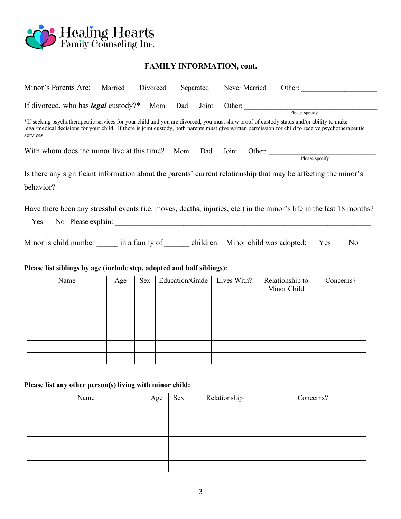

# **FAMILY INFORMATION, cont.**

| Minor's Parents Are:                                                                                                                                                                                                                                                                                         | Married | Divorced | Separated       | Never Married | Other: $\qquad \qquad$         |                       |
|--------------------------------------------------------------------------------------------------------------------------------------------------------------------------------------------------------------------------------------------------------------------------------------------------------------|---------|----------|-----------------|---------------|--------------------------------|-----------------------|
| If divorced, who has <i>legal</i> custody?* Mom Dad Joint Other: Please specify                                                                                                                                                                                                                              |         |          |                 |               |                                |                       |
| *If seeking psychotherapeutic services for your child and you are divorced, you must show proof of custody status and/or ability to make<br>legal/medical decisions for your child. If there is joint custody, both parents must give written permission for child to receive psychotherapeutic<br>services. |         |          |                 |               |                                |                       |
| With whom does the minor live at this time? Mom Dad Joint                                                                                                                                                                                                                                                    |         |          |                 |               | Other: Please specify          |                       |
| Is there any significant information about the parents' current relationship that may be affecting the minor's                                                                                                                                                                                               |         |          |                 |               |                                |                       |
| Have there been any stressful events (i.e. moves, deaths, injuries, etc.) in the minor's life in the last 18 months?<br>Yes                                                                                                                                                                                  |         |          |                 |               |                                |                       |
| Minor is child number in a family of children. Minor child was adopted:                                                                                                                                                                                                                                      |         |          |                 |               |                                | Yes<br>N <sub>0</sub> |
| Please list siblings by age (include step, adopted and half siblings):                                                                                                                                                                                                                                       |         |          |                 |               |                                |                       |
| Name                                                                                                                                                                                                                                                                                                         | Age     | Sex      | Education/Grade | Lives With?   | Relationship to<br>Minor Child | Concerns?             |
|                                                                                                                                                                                                                                                                                                              |         |          |                 |               |                                |                       |

| Please list any other person(s) living with minor child: |  |
|----------------------------------------------------------|--|

| Name | Age | Sex | Relationship | Concerns? |
|------|-----|-----|--------------|-----------|
|      |     |     |              |           |
|      |     |     |              |           |
|      |     |     |              |           |
|      |     |     |              |           |
|      |     |     |              |           |
|      |     |     |              |           |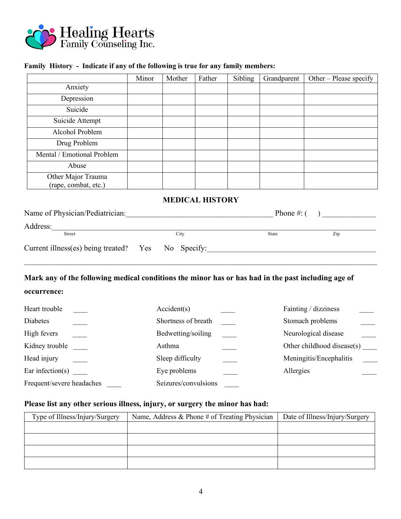

### **Family History - Indicate if any of the following is true for any family members:**

|                                            | Minor | Mother | Father | Sibling | Grandparent | Other – Please specify |
|--------------------------------------------|-------|--------|--------|---------|-------------|------------------------|
| Anxiety                                    |       |        |        |         |             |                        |
| Depression                                 |       |        |        |         |             |                        |
| Suicide                                    |       |        |        |         |             |                        |
| Suicide Attempt                            |       |        |        |         |             |                        |
| Alcohol Problem                            |       |        |        |         |             |                        |
| Drug Problem                               |       |        |        |         |             |                        |
| Mental / Emotional Problem                 |       |        |        |         |             |                        |
| Abuse                                      |       |        |        |         |             |                        |
| Other Major Trauma<br>(rape, combat, etc.) |       |        |        |         |             |                        |

#### **MEDICAL HISTORY**

| Name of Physician/Pediatrician:                    |  |      | Phone $\#$ : ( |     |  |
|----------------------------------------------------|--|------|----------------|-----|--|
| Address:                                           |  |      |                |     |  |
| Street                                             |  | City | <b>State</b>   | Zip |  |
| Current illness(es) being treated? Yes No Specify: |  |      |                |     |  |

# **Mark any of the following medical conditions the minor has or has had in the past including age of**

## **occurrence:**

| Heart trouble             | Accident(s)          | Fainting / dizziness       |
|---------------------------|----------------------|----------------------------|
| Diabetes                  | Shortness of breath  | Stomach problems           |
| High fevers               | Bedwetting/soiling   | Neurological disease       |
| Kidney trouble            | Asthma               | Other childhood disease(s) |
| Head injury               | Sleep difficulty     | Meningitis/Encephalitis    |
| Ear infection( $s$ )      | Eye problems         | Allergies                  |
| Frequent/severe headaches | Seizures/convulsions |                            |

## **Please list any other serious illness, injury, or surgery the minor has had:**

| Type of Illness/Injury/Surgery | Name, Address & Phone # of Treating Physician | Date of Illness/Injury/Surgery |
|--------------------------------|-----------------------------------------------|--------------------------------|
|                                |                                               |                                |
|                                |                                               |                                |
|                                |                                               |                                |
|                                |                                               |                                |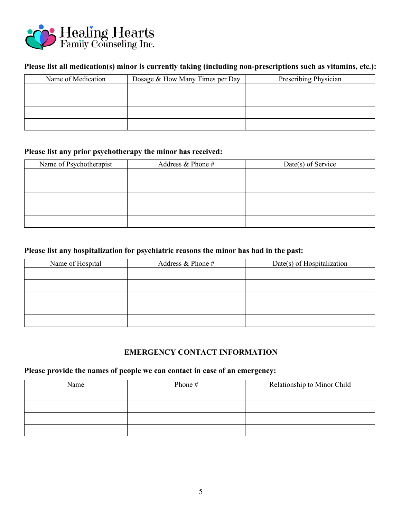

# **Please list all medication(s) minor is currently taking (including non-prescriptions such as vitamins, etc.):**

| Name of Medication | Dosage & How Many Times per Day | Prescribing Physician |
|--------------------|---------------------------------|-----------------------|
|                    |                                 |                       |
|                    |                                 |                       |
|                    |                                 |                       |
|                    |                                 |                       |

### **Please list any prior psychotherapy the minor has received:**

| Name of Psychotherapist | Address $&$ Phone $#$ | Date(s) of Service |
|-------------------------|-----------------------|--------------------|
|                         |                       |                    |
|                         |                       |                    |
|                         |                       |                    |
|                         |                       |                    |
|                         |                       |                    |

# **Please list any hospitalization for psychiatric reasons the minor has had in the past:**

| Name of Hospital | Address $&$ Phone $#$ | Date(s) of Hospitalization |
|------------------|-----------------------|----------------------------|
|                  |                       |                            |
|                  |                       |                            |
|                  |                       |                            |
|                  |                       |                            |
|                  |                       |                            |

## **EMERGENCY CONTACT INFORMATION**

# **Please provide the names of people we can contact in case of an emergency:**

| Name | Phone # | Relationship to Minor Child |
|------|---------|-----------------------------|
|      |         |                             |
|      |         |                             |
|      |         |                             |
|      |         |                             |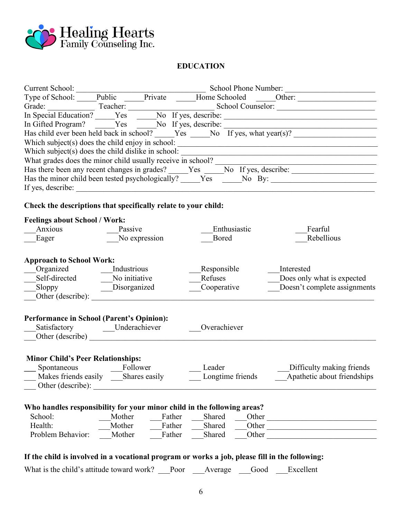

## **EDUCATION**

|                                                                                                |         |               |        |                            |              |       | Grade: Tracher: Tracher: Tracher: School Counselor: Track Conserved: The Special Education? The Special Education? The Special Education? The Special Education? The Special Counselor: The Special Education? The Special Cou |
|------------------------------------------------------------------------------------------------|---------|---------------|--------|----------------------------|--------------|-------|--------------------------------------------------------------------------------------------------------------------------------------------------------------------------------------------------------------------------------|
|                                                                                                |         |               |        |                            |              |       | Which subject(s) does the child enjoy in school:                                                                                                                                                                               |
| Which subject(s) does the child dislike in school:                                             |         |               |        |                            |              |       |                                                                                                                                                                                                                                |
|                                                                                                |         |               |        |                            |              |       |                                                                                                                                                                                                                                |
|                                                                                                |         |               |        |                            |              |       |                                                                                                                                                                                                                                |
|                                                                                                |         |               |        |                            |              |       | Has the minor child been tested psychologically? _____Yes _____No By: ______________________________                                                                                                                           |
| If yes, describe:                                                                              |         |               |        |                            |              |       |                                                                                                                                                                                                                                |
| Check the descriptions that specifically relate to your child:                                 |         |               |        |                            |              |       |                                                                                                                                                                                                                                |
| <b>Feelings about School / Work:</b>                                                           |         |               |        |                            |              |       |                                                                                                                                                                                                                                |
|                                                                                                | Passive |               |        |                            | Enthusiastic |       | Fearful                                                                                                                                                                                                                        |
| Eager                                                                                          |         | No expression |        | Bored                      |              |       | Rebellious                                                                                                                                                                                                                     |
|                                                                                                |         |               |        |                            |              |       |                                                                                                                                                                                                                                |
| <b>Approach to School Work:</b>                                                                |         |               |        |                            |              |       |                                                                                                                                                                                                                                |
| Organized Industrious                                                                          |         |               |        |                            | Responsible  |       | Interested                                                                                                                                                                                                                     |
| Self-directed No initiative                                                                    |         |               |        | Refuses                    |              |       | Does only what is expected                                                                                                                                                                                                     |
| Sloppy Disorganized                                                                            |         |               |        |                            | Cooperative  |       | Doesn't complete assignments                                                                                                                                                                                                   |
|                                                                                                |         |               |        |                            |              |       |                                                                                                                                                                                                                                |
|                                                                                                |         |               |        |                            |              |       |                                                                                                                                                                                                                                |
| <b>Performance in School (Parent's Opinion):</b>                                               |         |               |        |                            |              |       |                                                                                                                                                                                                                                |
| Satisfactory _____Underachiever                                                                |         |               |        | Overachiever               |              |       |                                                                                                                                                                                                                                |
| Other (describe)                                                                               |         |               |        |                            |              |       |                                                                                                                                                                                                                                |
|                                                                                                |         |               |        |                            |              |       |                                                                                                                                                                                                                                |
| <b>Minor Child's Peer Relationships:</b>                                                       |         |               |        |                            |              |       |                                                                                                                                                                                                                                |
| Spontaneous<br>Makes friends easily<br>Shares easily                                           |         |               |        | Leader<br>Longtime friends |              |       | Difficulty making friends<br>Apathetic about friendships                                                                                                                                                                       |
|                                                                                                |         |               |        |                            |              |       |                                                                                                                                                                                                                                |
| Other (describe):                                                                              |         |               |        |                            |              |       |                                                                                                                                                                                                                                |
|                                                                                                |         |               |        |                            |              |       |                                                                                                                                                                                                                                |
| Who handles responsibility for your minor child in the following areas?<br>School:             | Mother  |               | Father | Shared                     |              |       |                                                                                                                                                                                                                                |
| Health:                                                                                        | Mother  |               | Father | Shared                     |              |       | Other                                                                                                                                                                                                                          |
| Problem Behavior:                                                                              | Mother  |               | Father | Shared                     |              | Other | Other                                                                                                                                                                                                                          |
|                                                                                                |         |               |        |                            |              |       |                                                                                                                                                                                                                                |
| If the child is involved in a vocational program or works a job, please fill in the following: |         |               |        |                            |              |       |                                                                                                                                                                                                                                |

What is the child's attitude toward work? \_\_Poor \_\_Average \_\_Good \_\_Excellent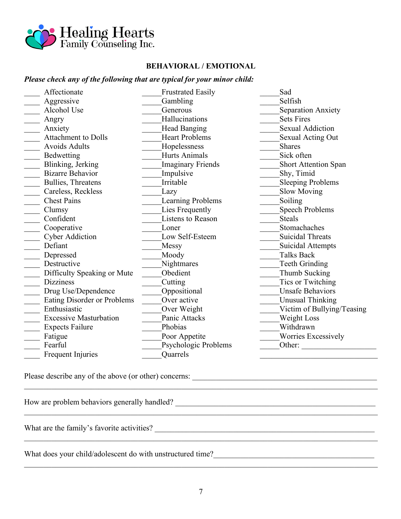

### **BEHAVIORAL / EMOTIONAL**

## *Please check any of the following that are typical for your minor child:*

| Affectionate                  | <b>Frustrated Easily</b> | Sad                        |
|-------------------------------|--------------------------|----------------------------|
| Aggressive                    | Gambling                 | Selfish                    |
| Alcohol Use                   | Generous                 | Separation Anxiety         |
| Angry                         | Hallucinations           | <b>Sets Fires</b>          |
| Anxiety                       | <b>Head Banging</b>      | Sexual Addiction           |
| <b>Attachment to Dolls</b>    | <b>Heart Problems</b>    | <b>Sexual Acting Out</b>   |
| <b>Avoids Adults</b>          | Hopelessness             | <b>Shares</b>              |
| Bedwetting                    | <b>Hurts Animals</b>     | Sick often                 |
| Blinking, Jerking             | <b>Imaginary Friends</b> | Short Attention Span       |
| <b>Bizarre Behavior</b>       | Impulsive                | Shy, Timid                 |
| Bullies, Threatens            | Irritable                | <b>Sleeping Problems</b>   |
| Careless, Reckless            | Lazy                     | <b>Slow Moving</b>         |
| <b>Chest Pains</b>            | <b>Learning Problems</b> | Soiling                    |
| Clumsy                        | Lies Frequently          | <b>Speech Problems</b>     |
| Confident                     | Listens to Reason        | <b>Steals</b>              |
| Cooperative                   | Loner                    | Stomachaches               |
| <b>Cyber Addiction</b>        | Low Self-Esteem          | <b>Suicidal Threats</b>    |
| Defiant                       | Messy                    | Suicidal Attempts          |
| Depressed                     | Moody                    | <b>Talks Back</b>          |
| Destructive                   | Nightmares               | <b>Teeth Grinding</b>      |
| Difficulty Speaking or Mute   | Obedient                 | Thumb Sucking              |
| <b>Dizziness</b>              | Cutting                  | Tics or Twitching          |
| Drug Use/Dependence           | Oppositional             | <b>Unsafe Behaviors</b>    |
| Eating Disorder or Problems   | Over active              | <b>Unusual Thinking</b>    |
| Enthusiastic                  | Over Weight              | Victim of Bullying/Teasing |
| <b>Excessive Masturbation</b> | Panic Attacks            | Weight Loss                |
| <b>Expects Failure</b>        | Phobias                  | Withdrawn                  |
| Fatigue                       | Poor Appetite            | Worries Excessively        |
| Fearful                       | Psychologic Problems     | Other:                     |
| Frequent Injuries             | Quarrels                 |                            |

Please describe any of the above (or other) concerns:

How are problem behaviors generally handled? \_\_\_\_\_\_\_\_\_\_\_\_\_\_\_\_\_\_\_\_\_\_\_\_\_\_\_\_\_\_\_\_\_\_\_\_\_\_\_\_\_\_\_\_\_\_\_\_\_\_\_

What are the family's favorite activities? \_\_\_\_\_\_\_\_\_\_\_\_\_\_\_\_\_\_\_\_\_\_\_\_\_\_\_\_\_\_\_\_\_\_\_\_\_\_\_\_\_\_\_\_\_\_\_\_\_\_\_\_\_\_\_\_

What does your child/adolescent do with unstructured time?\_\_\_\_\_\_\_\_\_\_\_\_\_\_\_\_\_\_\_\_\_\_\_\_\_\_\_\_\_\_\_\_\_\_\_\_\_\_\_\_\_

 $\mathcal{L}_\mathcal{L} = \mathcal{L}_\mathcal{L} = \mathcal{L}_\mathcal{L} = \mathcal{L}_\mathcal{L} = \mathcal{L}_\mathcal{L} = \mathcal{L}_\mathcal{L} = \mathcal{L}_\mathcal{L} = \mathcal{L}_\mathcal{L} = \mathcal{L}_\mathcal{L} = \mathcal{L}_\mathcal{L} = \mathcal{L}_\mathcal{L} = \mathcal{L}_\mathcal{L} = \mathcal{L}_\mathcal{L} = \mathcal{L}_\mathcal{L} = \mathcal{L}_\mathcal{L} = \mathcal{L}_\mathcal{L} = \mathcal{L}_\mathcal{L}$ 

 $\_$  , and the contribution of the contribution of the contribution of the contribution of the contribution of  $\mathcal{L}_\text{max}$ 

 $\_$  , and the contribution of the contribution of the contribution of the contribution of the contribution of  $\mathcal{L}_\text{max}$